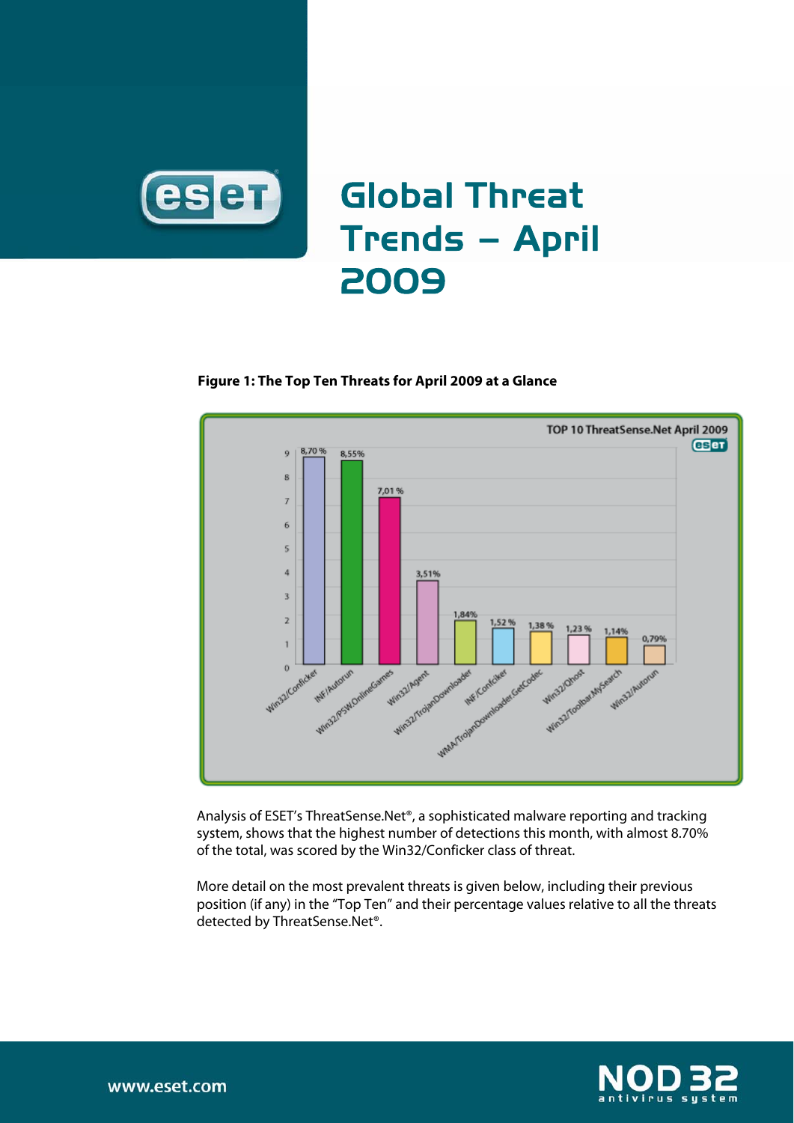

## **Figure 1: The Top Ten Threats for April 2009 at a Glance**



Analysis of ESET's ThreatSense.Net®, a sophisticated malware reporting and tracking system, shows that the highest number of detections this month, with almost 8.70% of the total, was scored by the Win32/Conficker class of threat.

More detail on the most prevalent threats is given below, including their previous position (if any) in the "Top Ten" and their percentage values relative to all the threats detected by ThreatSense.Net®.



www.eset.com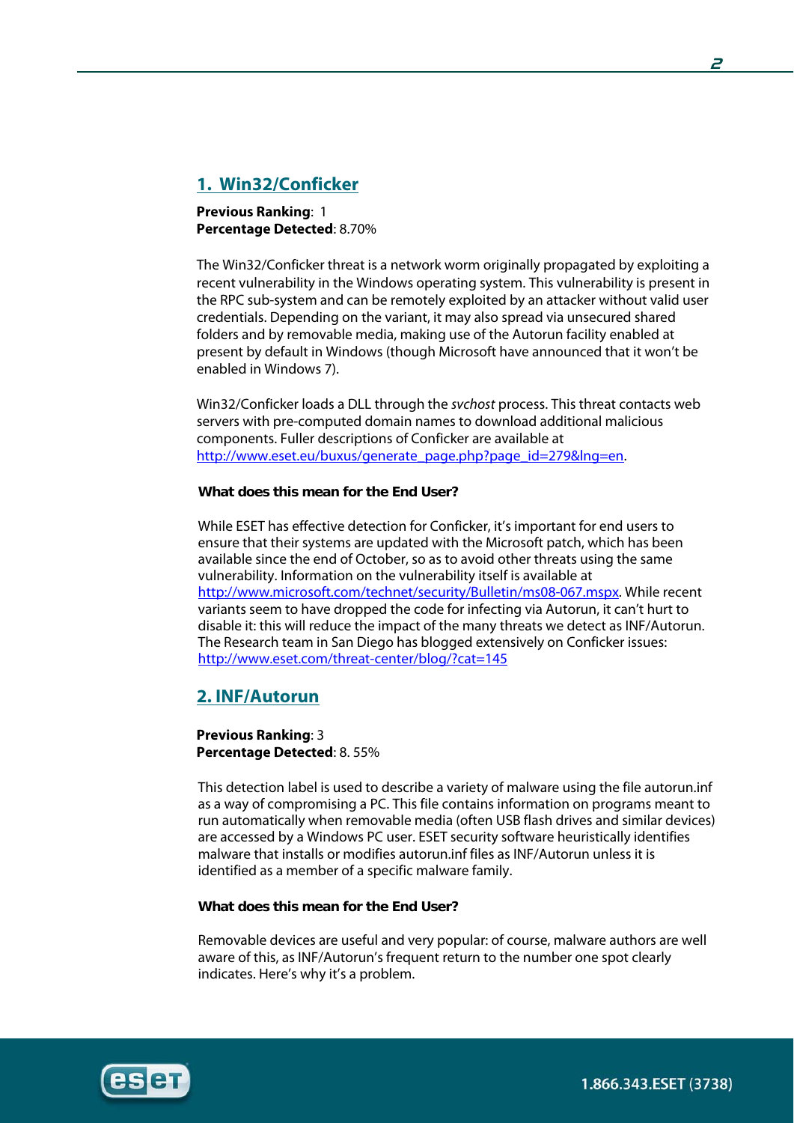# **1. Win32/Conficker**

**Previous Ranking**: 1 **Percentage Detected**: 8.70%

The Win32/Conficker threat is a network worm originally propagated by exploiting a recent vulnerability in the Windows operating system. This vulnerability is present in the RPC sub-system and can be remotely exploited by an attacker without valid user credentials. Depending on the variant, it may also spread via unsecured shared folders and by removable media, making use of the Autorun facility enabled at present by default in Windows (though Microsoft have announced that it won't be enabled in Windows 7).

Win32/Conficker loads a DLL through the svchost process. This threat contacts web servers with pre-computed domain names to download additional malicious components. Fuller descriptions of Conficker are available at http://www.eset.eu/buxus/generate\_page.php?page\_id=279&lng=en.

## **What does this mean for the End User?**

While ESET has effective detection for Conficker, it's important for end users to ensure that their systems are updated with the Microsoft patch, which has been available since the end of October, so as to avoid other threats using the same vulnerability. Information on the vulnerability itself is available at http://www.microsoft.com/technet/security/Bulletin/ms08-067.mspx. While recent variants seem to have dropped the code for infecting via Autorun, it can't hurt to disable it: this will reduce the impact of the many threats we detect as INF/Autorun. The Research team in San Diego has blogged extensively on Conficker issues: http://www.eset.com/threat-center/blog/?cat=145

# **2. INF/Autorun**

**Previous Ranking**: 3 **Percentage Detected**: 8. 55%

This detection label is used to describe a variety of malware using the file autorun.inf as a way of compromising a PC. This file contains information on programs meant to run automatically when removable media (often USB flash drives and similar devices) are accessed by a Windows PC user. ESET security software heuristically identifies malware that installs or modifies autorun.inf files as INF/Autorun unless it is identified as a member of a specific malware family.

#### **What does this mean for the End User?**

Removable devices are useful and very popular: of course, malware authors are well aware of this, as INF/Autorun's frequent return to the number one spot clearly indicates. Here's why it's a problem.

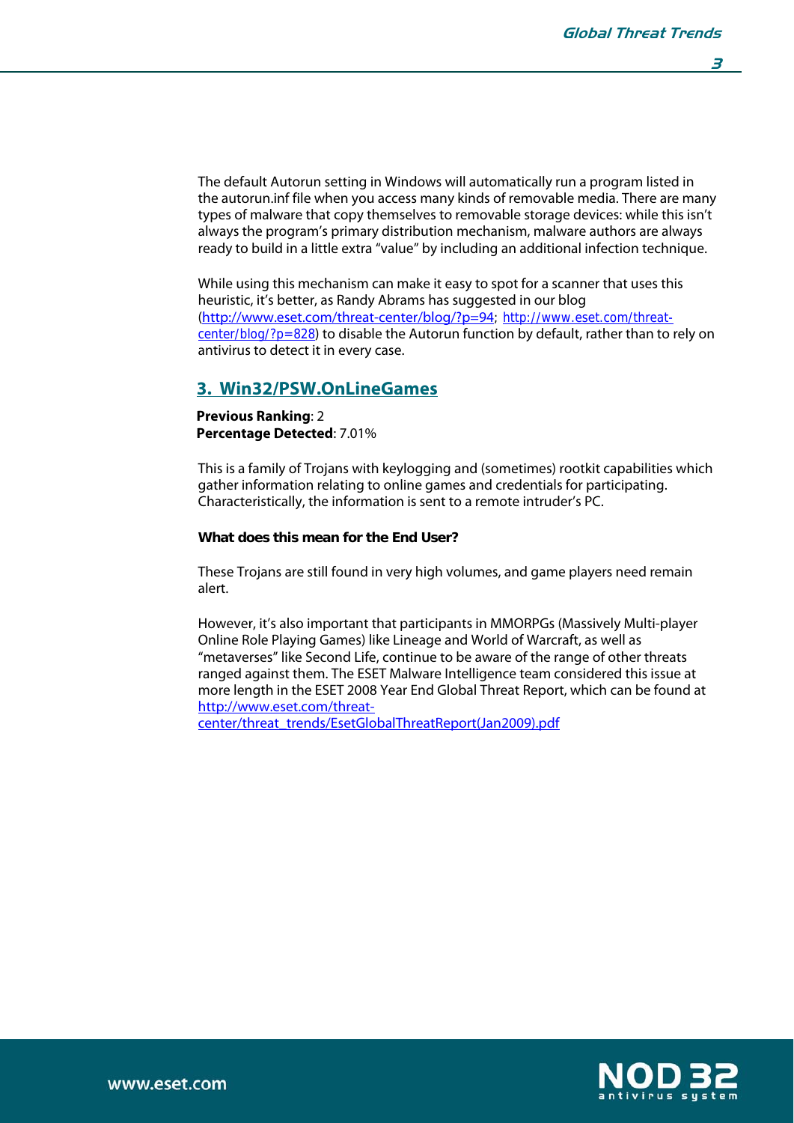**3** 

The default Autorun setting in Windows will automatically run a program listed in the autorun.inf file when you access many kinds of removable media. There are many types of malware that copy themselves to removable storage devices: while this isn't always the program's primary distribution mechanism, malware authors are always ready to build in a little extra "value" by including an additional infection technique.

While using this mechanism can make it easy to spot for a scanner that uses this heuristic, it's better, as Randy Abrams has suggested in our blog (http://www.eset.com/threat-center/blog/?p=94; http://www.eset.com/threatcenter/blog/?p=828) to disable the Autorun function by default, rather than to rely on antivirus to detect it in every case.

## **3. Win32/PSW.OnLineGames**

**Previous Ranking**: 2 **Percentage Detected**: 7.01%

This is a family of Trojans with keylogging and (sometimes) rootkit capabilities which gather information relating to online games and credentials for participating. Characteristically, the information is sent to a remote intruder's PC.

#### **What does this mean for the End User?**

These Trojans are still found in very high volumes, and game players need remain alert.

However, it's also important that participants in MMORPGs (Massively Multi-player Online Role Playing Games) like Lineage and World of Warcraft, as well as "metaverses" like Second Life, continue to be aware of the range of other threats ranged against them. The ESET Malware Intelligence team considered this issue at more length in the ESET 2008 Year End Global Threat Report, which can be found at http://www.eset.com/threat-

center/threat\_trends/EsetGlobalThreatReport(Jan2009).pdf



j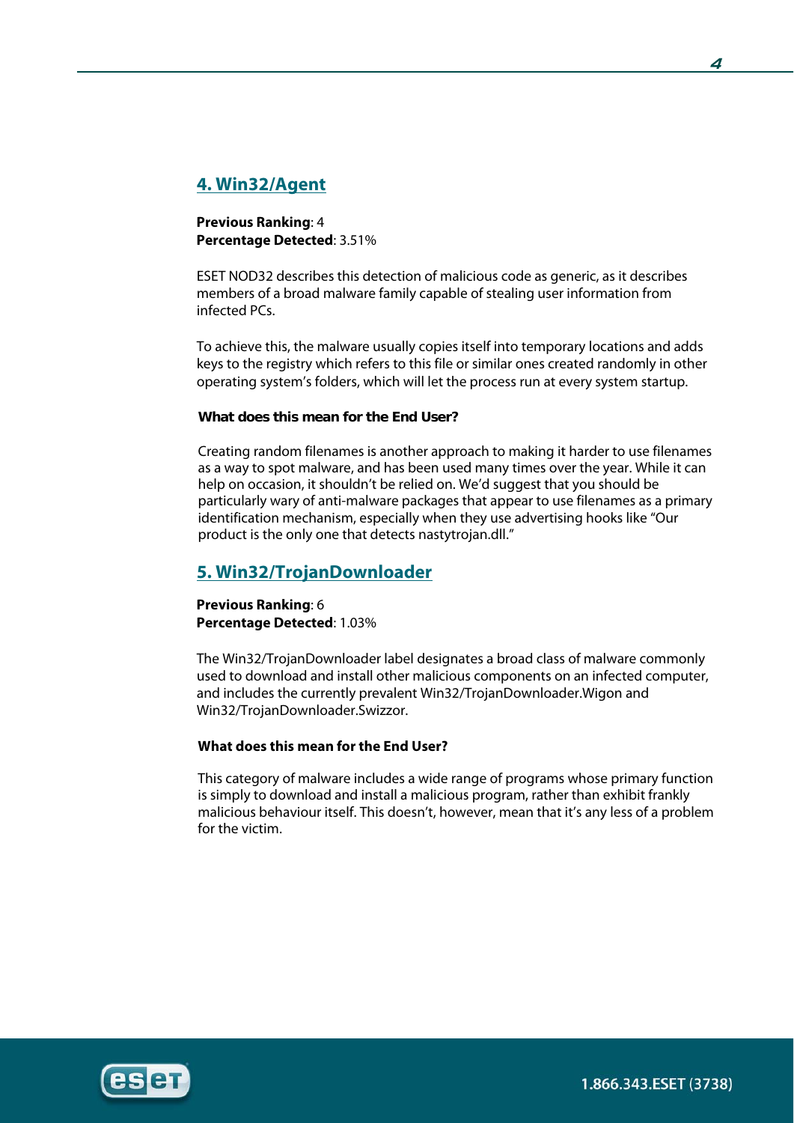# **4. Win32/Agent**

## **Previous Ranking**: 4 **Percentage Detected**: 3.51%

ESET NOD32 describes this detection of malicious code as generic, as it describes members of a broad malware family capable of stealing user information from infected PCs.

To achieve this, the malware usually copies itself into temporary locations and adds keys to the registry which refers to this file or similar ones created randomly in other operating system's folders, which will let the process run at every system startup.

## **What does this mean for the End User?**

Creating random filenames is another approach to making it harder to use filenames as a way to spot malware, and has been used many times over the year. While it can help on occasion, it shouldn't be relied on. We'd suggest that you should be particularly wary of anti-malware packages that appear to use filenames as a primary identification mechanism, especially when they use advertising hooks like "Our product is the only one that detects nastytrojan.dll."

# **5. Win32/TrojanDownloader**

**Previous Ranking**: 6 **Percentage Detected**: 1.03%

The Win32/TrojanDownloader label designates a broad class of malware commonly used to download and install other malicious components on an infected computer, and includes the currently prevalent Win32/TrojanDownloader.Wigon and Win32/TrojanDownloader.Swizzor.

## **What does this mean for the End User?**

This category of malware includes a wide range of programs whose primary function is simply to download and install a malicious program, rather than exhibit frankly malicious behaviour itself. This doesn't, however, mean that it's any less of a problem for the victim.

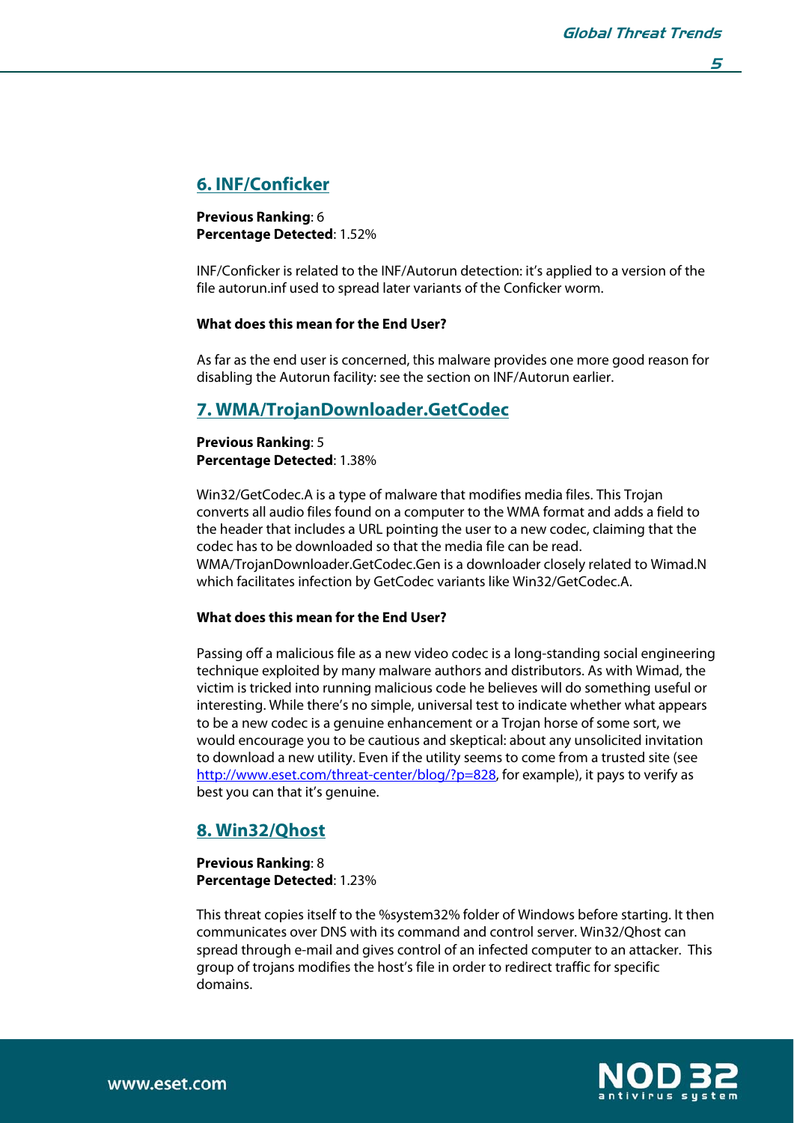## **5**

# **6. INF/Conficker**

**Previous Ranking**: 6 **Percentage Detected**: 1.52%

INF/Conficker is related to the INF/Autorun detection: it's applied to a version of the file autorun.inf used to spread later variants of the Conficker worm.

### **What does this mean for the End User?**

As far as the end user is concerned, this malware provides one more good reason for disabling the Autorun facility: see the section on INF/Autorun earlier.

# **7. WMA/TrojanDownloader.GetCodec**

### **Previous Ranking**: 5 **Percentage Detected**: 1.38%

Win32/GetCodec.A is a type of malware that modifies media files. This Trojan converts all audio files found on a computer to the WMA format and adds a field to the header that includes a URL pointing the user to a new codec, claiming that the codec has to be downloaded so that the media file can be read. WMA/TrojanDownloader.GetCodec.Gen is a downloader closely related to Wimad.N which facilitates infection by GetCodec variants like Win32/GetCodec.A.

#### **What does this mean for the End User?**

Passing off a malicious file as a new video codec is a long-standing social engineering technique exploited by many malware authors and distributors. As with Wimad, the victim is tricked into running malicious code he believes will do something useful or interesting. While there's no simple, universal test to indicate whether what appears to be a new codec is a genuine enhancement or a Trojan horse of some sort, we would encourage you to be cautious and skeptical: about any unsolicited invitation to download a new utility. Even if the utility seems to come from a trusted site (see http://www.eset.com/threat-center/blog/?p=828, for example), it pays to verify as best you can that it's genuine.

# **8. Win32/Qhost**

#### **Previous Ranking**: 8 **Percentage Detected**: 1.23%

This threat copies itself to the %system32% folder of Windows before starting. It then communicates over DNS with its command and control server. Win32/Qhost can spread through e-mail and gives control of an infected computer to an attacker. This group of trojans modifies the host's file in order to redirect traffic for specific domains.



j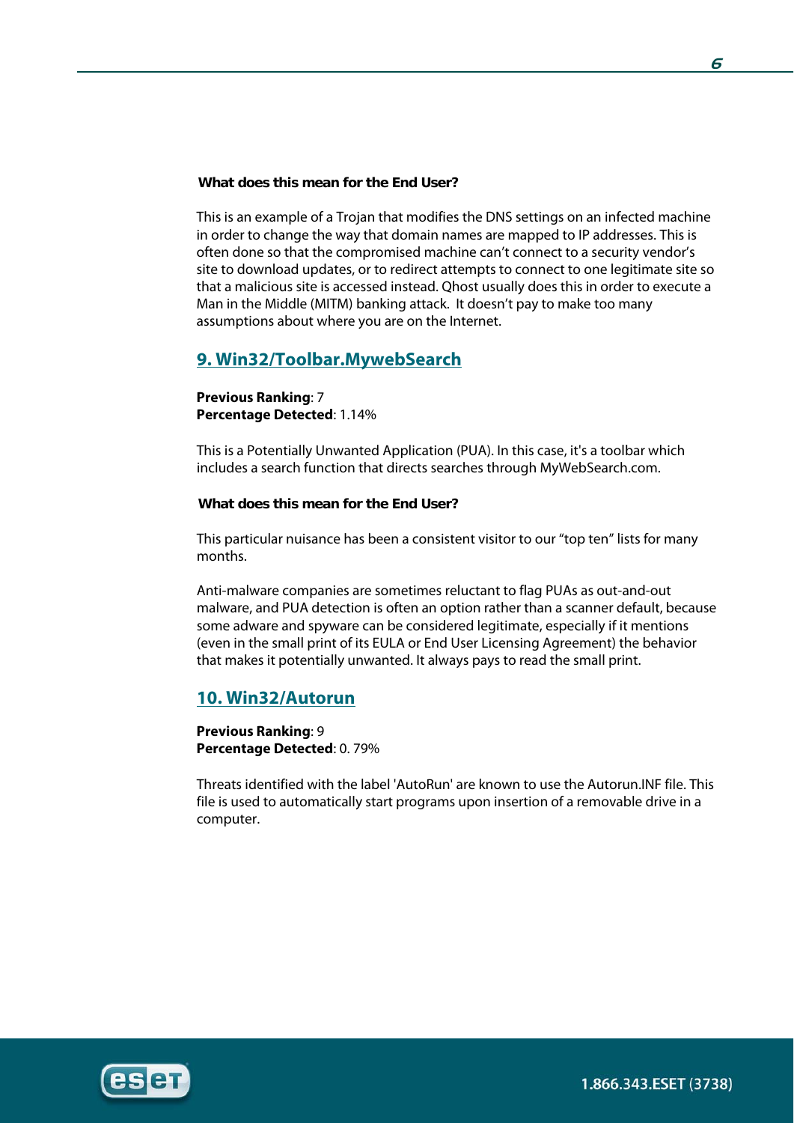### **What does this mean for the End User?**

This is an example of a Trojan that modifies the DNS settings on an infected machine in order to change the way that domain names are mapped to IP addresses. This is often done so that the compromised machine can't connect to a security vendor's site to download updates, or to redirect attempts to connect to one legitimate site so that a malicious site is accessed instead. Qhost usually does this in order to execute a Man in the Middle (MITM) banking attack. It doesn't pay to make too many assumptions about where you are on the Internet.

# **9. Win32/Toolbar.MywebSearch**

### **Previous Ranking**: 7 **Percentage Detected**: 1.14%

This is a Potentially Unwanted Application (PUA). In this case, it's a toolbar which includes a search function that directs searches through MyWebSearch.com.

#### **What does this mean for the End User?**

This particular nuisance has been a consistent visitor to our "top ten" lists for many months.

Anti-malware companies are sometimes reluctant to flag PUAs as out-and-out malware, and PUA detection is often an option rather than a scanner default, because some adware and spyware can be considered legitimate, especially if it mentions (even in the small print of its EULA or End User Licensing Agreement) the behavior that makes it potentially unwanted. It always pays to read the small print.

# **10. Win32/Autorun**

**Previous Ranking**: 9 **Percentage Detected**: 0. 79%

Threats identified with the label 'AutoRun' are known to use the Autorun.INF file. This file is used to automatically start programs upon insertion of a removable drive in a computer.

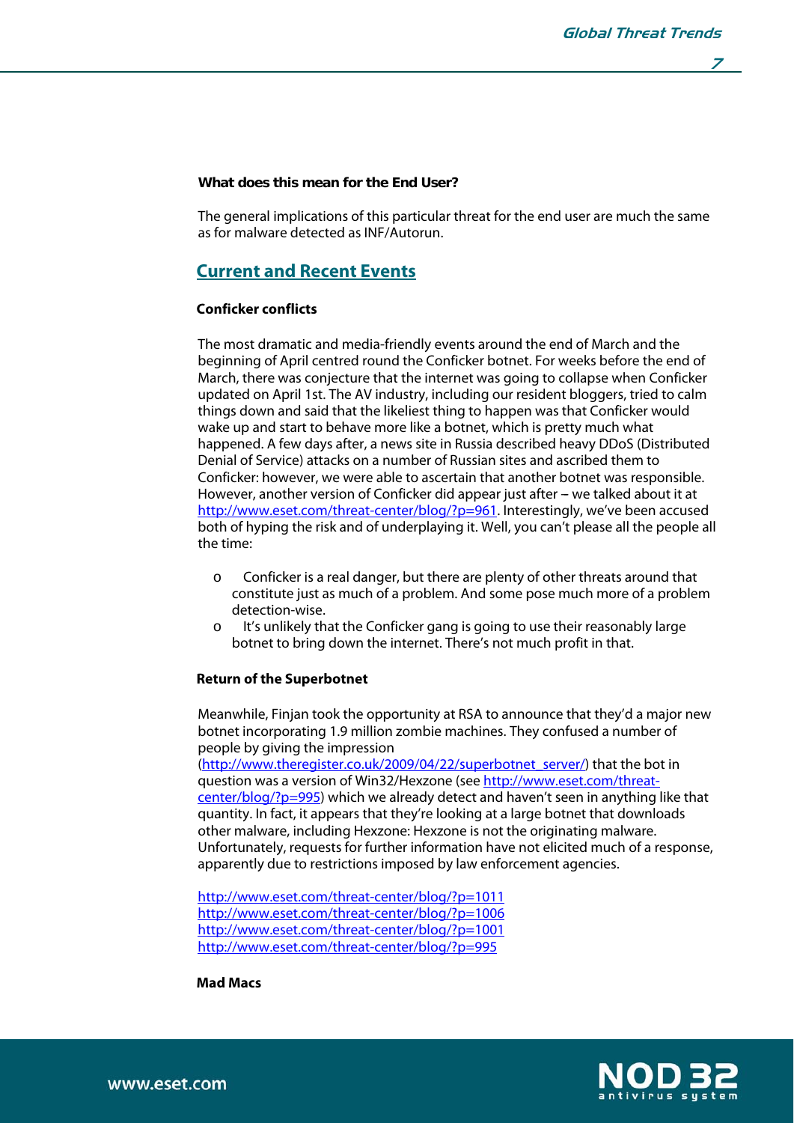**7** 

#### **What does this mean for the End User?**

The general implications of this particular threat for the end user are much the same as for malware detected as INF/Autorun.

# **Current and Recent Events**

## **Conficker conflicts**

The most dramatic and media-friendly events around the end of March and the beginning of April centred round the Conficker botnet. For weeks before the end of March, there was conjecture that the internet was going to collapse when Conficker updated on April 1st. The AV industry, including our resident bloggers, tried to calm things down and said that the likeliest thing to happen was that Conficker would wake up and start to behave more like a botnet, which is pretty much what happened. A few days after, a news site in Russia described heavy DDoS (Distributed Denial of Service) attacks on a number of Russian sites and ascribed them to Conficker: however, we were able to ascertain that another botnet was responsible. However, another version of Conficker did appear just after - we talked about it at http://www.eset.com/threat-center/blog/?p=961. Interestingly, we've been accused both of hyping the risk and of underplaying it. Well, you can't please all the people all the time:

- o Conficker is a real danger, but there are plenty of other threats around that constitute just as much of a problem. And some pose much more of a problem detection-wise.
- o It's unlikely that the Conficker gang is going to use their reasonably large botnet to bring down the internet. There's not much profit in that.

#### **Return of the Superbotnet**

Meanwhile, Finjan took the opportunity at RSA to announce that they'd a major new botnet incorporating 1.9 million zombie machines. They confused a number of people by giving the impression

(http://www.theregister.co.uk/2009/04/22/superbotnet\_server/) that the bot in question was a version of Win32/Hexzone (see http://www.eset.com/threatcenter/blog/?p=995) which we already detect and haven't seen in anything like that quantity. In fact, it appears that they're looking at a large botnet that downloads other malware, including Hexzone: Hexzone is not the originating malware. Unfortunately, requests for further information have not elicited much of a response, apparently due to restrictions imposed by law enforcement agencies.

http://www.eset.com/threat-center/blog/?p=1011 http://www.eset.com/threat-center/blog/?p=1006 http://www.eset.com/threat-center/blog/?p=1001 http://www.eset.com/threat-center/blog/?p=995

**Mad Macs** 



j